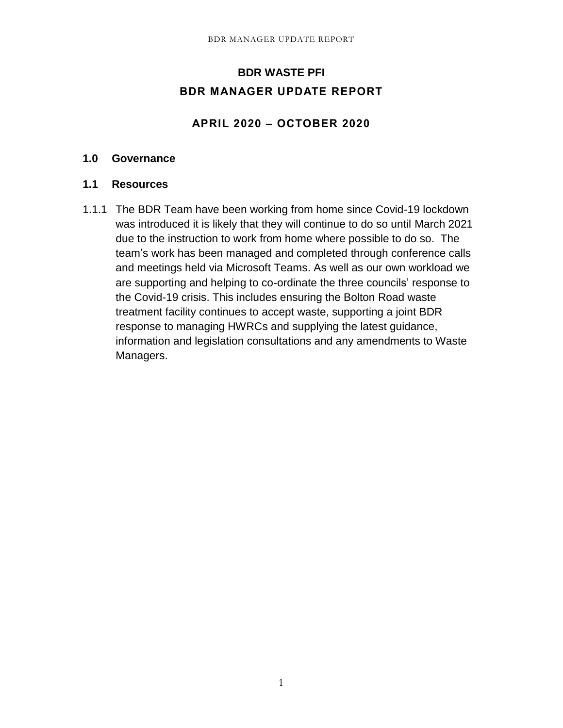# **BDR WASTE PFI BDR MANAGER UPDATE REPORT**

## **APRIL 2020 – OCTOBER 2020**

#### **1.0 Governance**

## **1.1 Resources**

1.1.1 The BDR Team have been working from home since Covid-19 lockdown was introduced it is likely that they will continue to do so until March 2021 due to the instruction to work from home where possible to do so. The team's work has been managed and completed through conference calls and meetings held via Microsoft Teams. As well as our own workload we are supporting and helping to co-ordinate the three councils' response to the Covid-19 crisis. This includes ensuring the Bolton Road waste treatment facility continues to accept waste, supporting a joint BDR response to managing HWRCs and supplying the latest guidance, information and legislation consultations and any amendments to Waste Managers.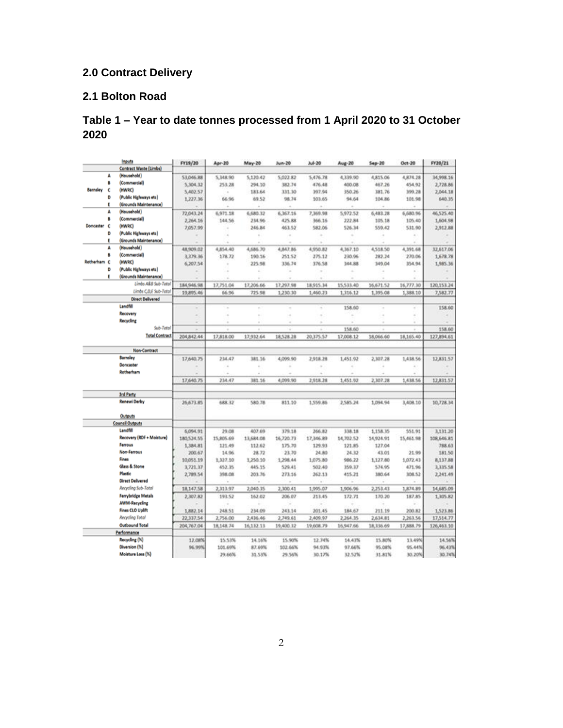# **2.0 Contract Delivery**

## **2.1 Bolton Road**

## **Table 1 – Year to date tonnes processed from 1 April 2020 to 31 October 2020**

|                 |   | Inputs                        | FY19/20                  | Apr-20    | May-20    | Jun-20    | $Jub-20$  | Aug-20    | $540 - 20$ | Oct-20    | FY20/21    |
|-----------------|---|-------------------------------|--------------------------|-----------|-----------|-----------|-----------|-----------|------------|-----------|------------|
|                 |   | <b>Contract Waste (Limbs)</b> |                          |           |           |           |           |           |            |           |            |
|                 | A | (Household)                   | 53,046.88                | 5,348.90  | 5,120.42  | 5,022.82  | 5,476.78  | 4,339.90  | 4,815.06   | 4,874.28  | 34,998.16  |
|                 | B | (Commercial)                  | 5,304.32                 | 253.28    | 294.10    | 382.74    | 476.48    | 400.08    | 467.26     | 454.92    | 2,728.86   |
| <b>Barnsley</b> | ċ | (HWRC)                        | 5,402.57                 | ×.        | 183.64    | 331.30    | 397.94    | 350.26    | 381.76     | 399.28    | 2,044.18   |
|                 | D | (Public Highways etc)         | 1,227.36                 | 66.96     | 69.52     | 98.74     | 103.65    | 94.64     | 104.86     | 101.98    | 640.35     |
|                 | t | (Grounds Maintenance)         |                          |           |           |           |           |           |            |           |            |
|                 | А | (Household)                   | 72,043.24                | 6,971.18  | 6,680.32  | 6,367.16  | 7,369.98  | 5,972.52  | 6,483.28   | 5,680.96  | 46,525.40  |
|                 | 8 | (Commercial)                  | 2,264.16                 | 144.56    | 234.96    | 425.88    | 366.16    | 222.84    | 105.18     | 105.40    | 1,604.98   |
| Doncaster       | c | (HWRC)                        | 7,057.99                 |           | 246.84    | 463.52    | 582.06    | 526.34    | 559.42     | 531.90    | 2,912.88   |
|                 | Ð | (Public Highways etc)         |                          |           | ÷         | ×         | ٠         |           | ٠          | ×.        |            |
|                 | ŧ | (Grounds Maintenance)         |                          |           |           |           | ä         |           |            |           |            |
|                 | A | (Household)                   | 48,909.02                | 4,854.40  | 4,686.70  | 4,847.86  | 4,950.82  | 4,367.10  | 4,518.50   | 4,391.68  | 32,617.06  |
|                 | 8 | (Commercial)                  | 3,379.36                 | 178.72    | 190.16    | 251.52    | 275.12    | 230.96    | 282.24     | 270.06    | 1,678.78   |
| Rotherham C     |   | (HWRC)                        | 6,207.54                 |           | 225.98    | 336.74    | 376.58    | 144.88    | 349.04     | 354.94    | 1,985.36   |
|                 | D | (Public Highways etc)         |                          |           |           | ۰         |           |           |            | ×         |            |
|                 | Ε | (Grounds Maintenance)         |                          |           |           |           |           |           |            |           |            |
|                 |   | Limbs A&B Sub-Total           | 184, 946, 98             | 17,751.04 | 17,206.66 | 17,297.98 | 18,915.34 | 15,533.40 | 16,671.52  | 16,777.10 | 120,153.24 |
|                 |   | Limbs C.D.E Sub-Total         | 19,895.46                | 66.96     | 725.98    | 1,230.30  | 1,460.23  | 1,316.12  | 1,395.08   | 1,388.10  | 7,582.77   |
|                 |   | <b>Direct Delivered</b>       |                          |           |           |           |           |           |            |           |            |
|                 |   | Landfill                      |                          |           |           |           |           |           |            |           |            |
|                 |   | Recovery                      | $\sim$                   |           | ×         | ۰         | $\sim$    | 158.60    | $\sim$     | ÷         | 158.60     |
|                 |   |                               | $\overline{\phantom{a}}$ | $\leq$    | $\sim$    | ÷         | ٠         |           | à.         | $\leq$    |            |
|                 |   | Recycling                     |                          |           |           |           |           |           |            |           |            |
|                 |   | Sub-Total                     |                          |           |           |           |           | 158.60    |            |           | 158.60     |
|                 |   | <b>Total Contract</b>         | 204,842.44               | 17,818.00 | 17,932.64 | 18,528.28 | 20,375.57 | 17,008.12 | 18,066.60  | 18,165.40 | 127,894.61 |
|                 |   | <b>Non-Contract</b>           |                          |           |           |           |           |           |            |           |            |
|                 |   | Barnsley                      | 17,640.75                | 234.47    | 381.16    | 4,099.90  | 2,918.28  | 1,451.92  | 2,307.28   | 1,438.56  | 12,831.57  |
|                 |   | Doncaster                     |                          | ä         |           |           |           |           |            |           |            |
|                 |   | Rotherham                     |                          |           |           |           |           |           |            |           |            |
|                 |   |                               | 17,640.75                | 234.47    | 381.16    | 4,099.90  | 2,918.28  | 1,451.92  | 2,307.28   | 1,438.56  | 12,831.57  |
|                 |   |                               |                          |           |           |           |           |           |            |           |            |
|                 |   | <b>3rd Party</b>              |                          |           |           |           |           |           |            |           |            |
|                 |   | <b>Renewi Derby</b>           | 26,673.85                | 688.32    | 580.78    | 811.10    | 1,559.86  | 2,585.24  | 1,094.94   | 3,408.10  | 10,728.34  |
|                 |   | Outputs                       |                          |           |           |           |           |           |            |           |            |
|                 |   | <b>Council Outputs</b>        |                          |           |           |           |           |           |            |           |            |
|                 |   | Landfill                      | 6,094.91                 | 29.08     | 407.69    | 379.18    | 266.82    | 338.18    | 1,158.35   | 551.91    | 3,131.20   |
|                 |   | Recovery (RDF + Moisture)     | 180,524.55               | 15,805.69 | 13,684.08 | 16,720.73 | 17,346.89 | 14,702.52 | 14,924.91  | 15,461.98 | 108,646.81 |
|                 |   | Ferrous                       | 1,384.81                 | 121.49    | 112.62    | 175.70    | 129.93    | 121.85    | 127.04     |           | 788.63     |
|                 |   | Non-Ferrous                   | 200.67                   | 14.96     | 28.72     | 23.70     | 24.80     | 24.32     | 43.01      | 21.99     | 181.50     |
|                 |   | Fines                         | 10.051.19                | 1,327.10  | 1,250.10  | 1,298.44  | 1,075.80  | 986.22    | 1,127.80   | 1,072.43  | 8,137.88   |
|                 |   | <b>Glass &amp; Stone</b>      |                          | 452.35    | 445.15    | 529.41    | 502.40    | 359.37    | 574.95     | 471.96    |            |
|                 |   | <b>Plastic</b>                | 3,721.37                 | 398.08    | 203.76    |           | 262.13    |           | 180.64     | 308.52    | 3,335.58   |
|                 |   | <b>Direct Delivered</b>       | 2,789.54                 |           |           | 273.16    |           | 415.21    |            |           | 2,241.49   |
|                 |   | Recycling Sub-Total           |                          |           |           |           |           |           |            |           |            |
|                 |   |                               | 18,147.58                | 2,313.97  | 2,040.35  | 2,300.41  | 1,995.07  | 1,906.96  | 2,253.43   | 1,874.89  | 14,685.09  |
|                 |   | <b>Ferrybridge Metals</b>     | 2,307.82                 | 193.52    | 162.02    | 206.07    | 213.45    | 172.71    | 170.20     | 187.85    | 1,305.82   |
|                 |   | <b>AWM-Recycling</b>          |                          |           |           |           |           |           |            |           |            |
|                 |   | <b>Fines CLO Uplift</b>       | 1,882.14                 | 248.51    | 234.09    | 243.14    | 201.45    | 184.67    | 211.19     | 200.82    | 1,523.86   |
|                 |   | Recycling Total               | 22,337.54                | 2,756.00  | 2,436.46  | 2,749.61  | 2,409.97  | 2,264.35  | 2,634.81   | 2,263.56  | 17,514.77  |
|                 |   | Outbound Total                | 204,767.04               | 18,148.74 | 16.132.13 | 19,400.32 | 19,608.79 | 16,947.66 | 18,336.69  | 17,888.79 | 126,463.10 |
|                 |   | Performance                   |                          |           |           |           |           |           |            |           |            |
|                 |   | Recycling (%)                 | 12.08%                   | 15.53%    | 14.16%    | 15.90%    | 12.74%    | 14.43%    | 15.80%     | 13.49%    | 14.56%     |
|                 |   | Diversion (%)                 | 96.99%                   | 101.69%   | 87.69%    | 102.66%   | 94.93%    | 97.66%    | 95.08%     | 95.44%    | 96.43%     |
|                 |   | Moisture Loss (%)             |                          | 29.66%    | 31.53%    | 29.56%    | 30.17%    | 32.52%    | 31.81%     | 30.20%    | 30.74%     |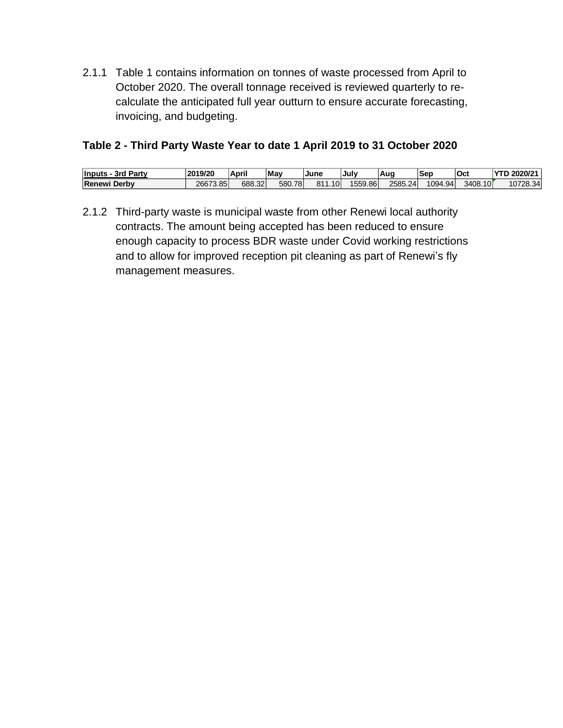2.1.1 Table 1 contains information on tonnes of waste processed from April to October 2020. The overall tonnage received is reviewed quarterly to recalculate the anticipated full year outturn to ensure accurate forecasting, invoicing, and budgeting.

## **Table 2 - Third Party Waste Year to date 1 April 2019 to 31 October 2020**

| ' Partv<br><b>Inputs</b><br>3rd | 2019/20  | <b>April</b> | May        | <b>June</b> | July    | <b>Auc</b> | Sep     | <b>Oct</b> | 2020/21<br><b>VTD</b><br>ь |
|---------------------------------|----------|--------------|------------|-------------|---------|------------|---------|------------|----------------------------|
| Renewi<br>Derby                 | 26673.85 | 688.32       | 580.<br>78 | 1.10<br>811 | 1559.86 | 2585.24    | 1094.94 | 3408.10    | 10728.34                   |

2.1.2 Third-party waste is municipal waste from other Renewi local authority contracts. The amount being accepted has been reduced to ensure enough capacity to process BDR waste under Covid working restrictions and to allow for improved reception pit cleaning as part of Renewi's fly management measures.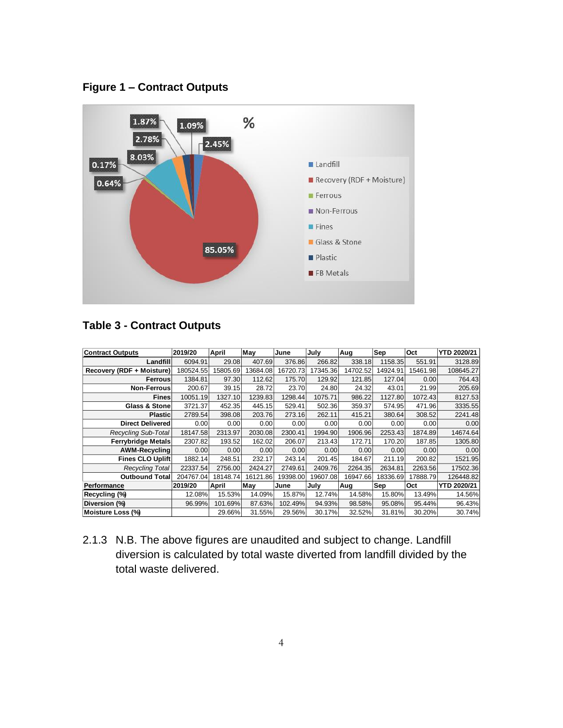



## **Table 3 - Contract Outputs**

| <b>Contract Outputs</b>    | 2019/20   | April    | May      | June     | July     | Aug      | Sep      | Oct      | <b>YTD 2020/21</b> |
|----------------------------|-----------|----------|----------|----------|----------|----------|----------|----------|--------------------|
| Landfill                   | 6094.91   | 29.08    | 407.69   | 376.86   | 266.82   | 338.18   | 1158.35  | 551.91   | 3128.89            |
| Recovery (RDF + Moisture)  | 180524.55 | 15805.69 | 13684.08 | 16720.73 | 17345.36 | 14702.52 | 14924.91 | 15461.98 | 108645.27          |
| Ferrous                    | 1384.81   | 97.30    | 112.62   | 175.70   | 129.92   | 121.85   | 127.04   | 0.00     | 764.43             |
| <b>Non-Ferrous</b>         | 200.67    | 39.15    | 28.72    | 23.70    | 24.80    | 24.32    | 43.01    | 21.99    | 205.69             |
| <b>Fines</b>               | 10051.19  | 1327.10  | 1239.83  | 1298.44  | 1075.71  | 986.22   | 1127.80  | 1072.43  | 8127.53            |
| <b>Glass &amp; Stonel</b>  | 3721.37   | 452.35   | 445.15   | 529.41   | 502.36   | 359.37   | 574.95   | 471.96   | 3335.55            |
| <b>Plastic</b>             | 2789.54   | 398.08   | 203.76   | 273.16   | 262.11   | 415.21   | 380.64   | 308.52   | 2241.48            |
| <b>Direct Delivered</b>    | 0.00      | 0.00     | 0.00     | 0.001    | 0.00     | 0.00     | 0.001    | 0.00     | 0.00               |
| <b>Recycling Sub-Total</b> | 18147.58  | 2313.97  | 2030.08  | 2300.41  | 1994.90  | 1906.96  | 2253.43  | 1874.89  | 14674.64           |
| <b>Ferrybridge Metals</b>  | 2307.82   | 193.52   | 162.02   | 206.07   | 213.43   | 172.71   | 170.20   | 187.85   | 1305.80            |
| <b>AWM-Recycling</b>       | 0.00      | 0.00     | 0.00     | 0.00     | 0.00     | 0.00     | 0.00     | 0.00     | 0.00               |
| <b>Fines CLO Uplift</b>    | 1882.14   | 248.51   | 232.17   | 243.14   | 201.45   | 184.67   | 211.19   | 200.82   | 1521.95            |
| <b>Recycling Total</b>     | 22337.54  | 2756.00  | 2424.27  | 2749.61  | 2409.76  | 2264.35  | 2634.81  | 2263.56  | 17502.36           |
| <b>Outbound Total</b>      | 204767.04 | 18148.74 | 16121.86 | 19398.00 | 19607.08 | 16947.66 | 18336.69 | 17888.79 | 126448.82          |
| Performance                | 2019/20   | April    | May      | June     | July     | Aug      | Sep      | Oct      | <b>YTD 2020/21</b> |
| Recycling (%)              | 12.08%    | 15.53%   | 14.09%   | 15.87%   | 12.74%   | 14.58%   | 15.80%   | 13.49%   | 14.56%             |
| Diversion (%)              | 96.99%    | 101.69%  | 87.63%   | 102.49%  | 94.93%   | 98.58%   | 95.08%   | 95.44%   | 96.43%             |
| Moisture Loss (%)          |           | 29.66%   | 31.55%   | 29.56%   | 30.17%   | 32.52%   | 31.81%   | 30.20%   | 30.74%             |

2.1.3 N.B. The above figures are unaudited and subject to change. Landfill diversion is calculated by total waste diverted from landfill divided by the total waste delivered.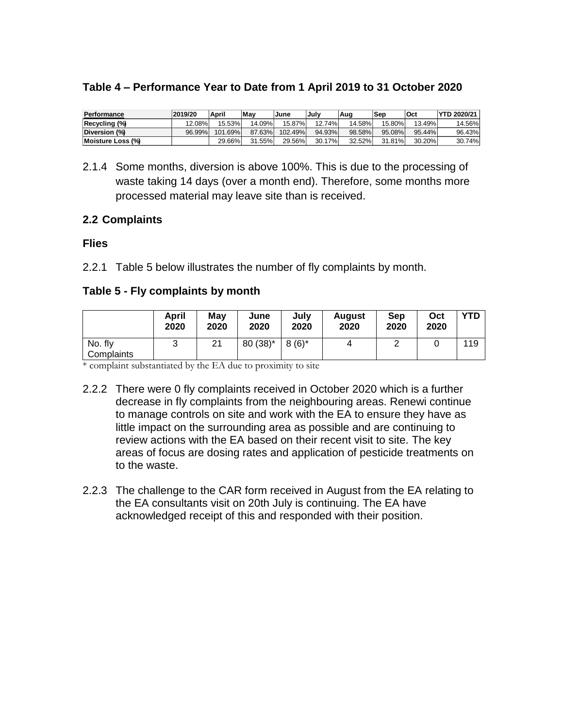| Performance       | 2019/20 | April   | <b>Mav</b> | June    | .Julv  | Aug    | Sep     | Oct    | <b>YTD 2020/21</b> |
|-------------------|---------|---------|------------|---------|--------|--------|---------|--------|--------------------|
| Recycling (%)     | 12.08%  | 15.53%  | 14.09%」    | 15.87%  | 12.74% | 14.58% | 15.80%। | 13.49% | 14.56%             |
| Diversion (%)     | 96.99%  | 101.69% | 87.63%     | 102.49% | 94.93% | 98.58% | 95.08%  | 95.44% | 96.43%             |
| Moisture Loss (%) |         | 29.66%  | 31.55%     | 29.56%  | 30.17% | 32.52% | 31.81%  | 30.20% | 30.74%             |

#### **Table 4 – Performance Year to Date from 1 April 2019 to 31 October 2020**

2.1.4 Some months, diversion is above 100%. This is due to the processing of waste taking 14 days (over a month end). Therefore, some months more processed material may leave site than is received.

#### **2.2 Complaints**

#### **Flies**

2.2.1 Table 5 below illustrates the number of fly complaints by month.

#### **Table 5 - Fly complaints by month**

|                       | April<br>2020 | Mav<br>2020 | June<br>2020 | July<br>2020 | <b>August</b><br>2020 | Sep<br>2020 | Oct<br>2020 | YTD |
|-----------------------|---------------|-------------|--------------|--------------|-----------------------|-------------|-------------|-----|
| No. fly<br>Complaints | ື             | 21          | $80(38)^*$   | $8(6)^*$     | 4                     | <u>_</u>    |             | 119 |

\* complaint substantiated by the EA due to proximity to site

- 2.2.2 There were 0 fly complaints received in October 2020 which is a further decrease in fly complaints from the neighbouring areas. Renewi continue to manage controls on site and work with the EA to ensure they have as little impact on the surrounding area as possible and are continuing to review actions with the EA based on their recent visit to site. The key areas of focus are dosing rates and application of pesticide treatments on to the waste.
- 2.2.3 The challenge to the CAR form received in August from the EA relating to the EA consultants visit on 20th July is continuing. The EA have acknowledged receipt of this and responded with their position.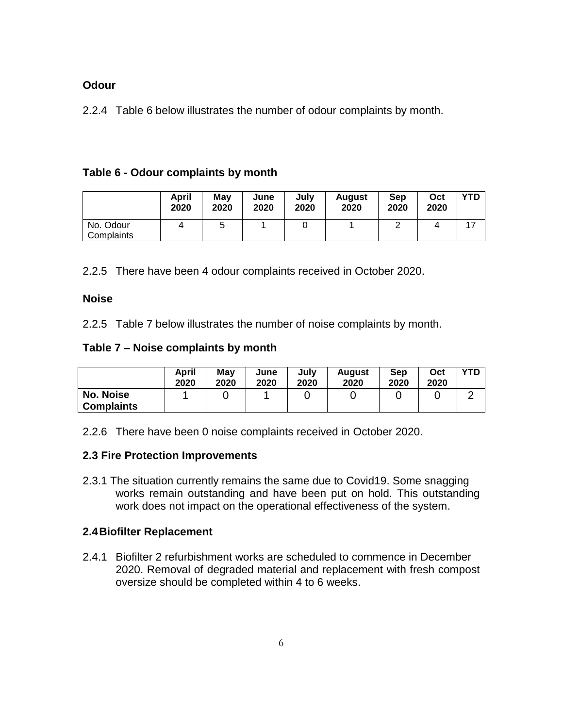#### **Odour**

2.2.4 Table 6 below illustrates the number of odour complaints by month.

#### **Table 6 - Odour complaints by month**

|                         | <b>April</b><br>2020 | Mav<br>2020 | June<br>2020 | July<br>2020 | <b>August</b><br>2020 | Sep<br>2020 | Oct<br>2020 | <b>YTD</b> |
|-------------------------|----------------------|-------------|--------------|--------------|-----------------------|-------------|-------------|------------|
| No. Odour<br>Complaints |                      | ა           |              |              |                       | ◠           | 4           |            |

2.2.5 There have been 4 odour complaints received in October 2020.

#### **Noise**

2.2.5 Table 7 below illustrates the number of noise complaints by month.

#### **Table 7 – Noise complaints by month**

|                                       | April<br>2020 | Mav<br>2020 | June<br>2020 | July<br>2020 | August<br>2020 | Sep<br>2020 | Oct<br>2020 | YTD |
|---------------------------------------|---------------|-------------|--------------|--------------|----------------|-------------|-------------|-----|
| <b>No. Noise</b><br><b>Complaints</b> |               |             |              |              |                |             |             |     |

2.2.6 There have been 0 noise complaints received in October 2020.

#### **2.3 Fire Protection Improvements**

2.3.1 The situation currently remains the same due to Covid19. Some snagging works remain outstanding and have been put on hold. This outstanding work does not impact on the operational effectiveness of the system.

#### **2.4Biofilter Replacement**

2.4.1 Biofilter 2 refurbishment works are scheduled to commence in December 2020. Removal of degraded material and replacement with fresh compost oversize should be completed within 4 to 6 weeks.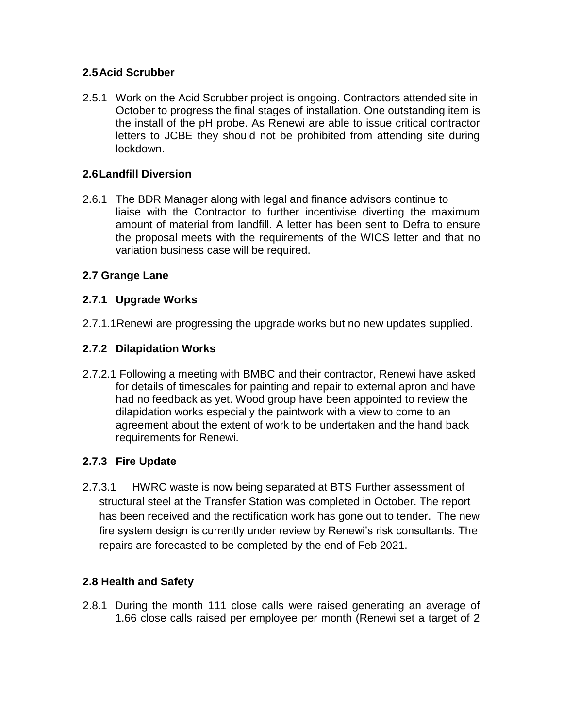## **2.5Acid Scrubber**

2.5.1 Work on the Acid Scrubber project is ongoing. Contractors attended site in October to progress the final stages of installation. One outstanding item is the install of the pH probe. As Renewi are able to issue critical contractor letters to JCBE they should not be prohibited from attending site during lockdown.

## **2.6Landfill Diversion**

2.6.1 The BDR Manager along with legal and finance advisors continue to liaise with the Contractor to further incentivise diverting the maximum amount of material from landfill. A letter has been sent to Defra to ensure the proposal meets with the requirements of the WICS letter and that no variation business case will be required.

## **2.7 Grange Lane**

## **2.7.1 Upgrade Works**

2.7.1.1Renewi are progressing the upgrade works but no new updates supplied.

## **2.7.2 Dilapidation Works**

2.7.2.1 Following a meeting with BMBC and their contractor, Renewi have asked for details of timescales for painting and repair to external apron and have had no feedback as yet. Wood group have been appointed to review the dilapidation works especially the paintwork with a view to come to an agreement about the extent of work to be undertaken and the hand back requirements for Renewi.

## **2.7.3 Fire Update**

2.7.3.1 HWRC waste is now being separated at BTS Further assessment of structural steel at the Transfer Station was completed in October. The report has been received and the rectification work has gone out to tender. The new fire system design is currently under review by Renewi's risk consultants. The repairs are forecasted to be completed by the end of Feb 2021.

## **2.8 Health and Safety**

2.8.1 During the month 111 close calls were raised generating an average of 1.66 close calls raised per employee per month (Renewi set a target of 2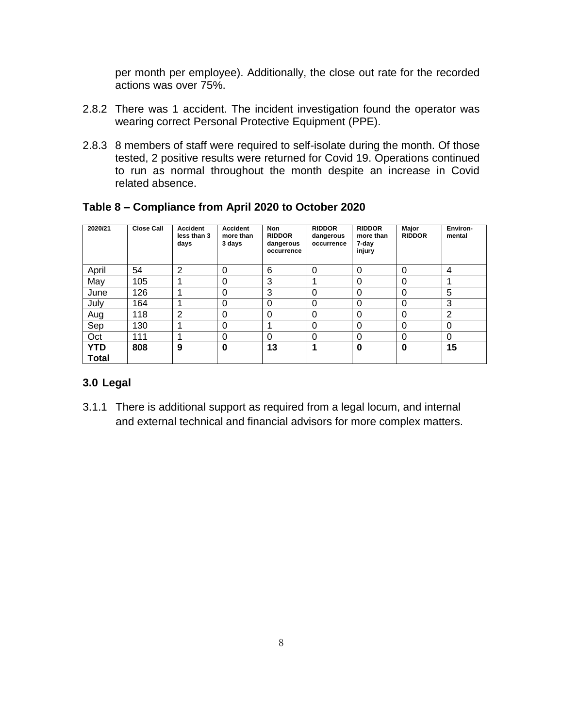per month per employee). Additionally, the close out rate for the recorded actions was over 75%.

- 2.8.2 There was 1 accident. The incident investigation found the operator was wearing correct Personal Protective Equipment (PPE).
- 2.8.3 8 members of staff were required to self-isolate during the month. Of those tested, 2 positive results were returned for Covid 19. Operations continued to run as normal throughout the month despite an increase in Covid related absence.

| 2020/21                    | <b>Close Call</b> | <b>Accident</b><br>less than 3<br>days | <b>Accident</b><br>more than<br>3 days | <b>Non</b><br><b>RIDDOR</b><br>dangerous<br>occurrence | <b>RIDDOR</b><br>dangerous<br>occurrence | <b>RIDDOR</b><br>more than<br>7-day<br>injury | Major<br><b>RIDDOR</b> | Environ-<br>mental |
|----------------------------|-------------------|----------------------------------------|----------------------------------------|--------------------------------------------------------|------------------------------------------|-----------------------------------------------|------------------------|--------------------|
| April                      | 54                | $\overline{2}$                         | 0                                      | 6                                                      | $\Omega$                                 | 0                                             | 0                      | 4                  |
| May                        | 105               |                                        | 0                                      | 3                                                      |                                          | 0                                             | 0                      |                    |
| June                       | 126               |                                        | 0                                      | 3                                                      | $\Omega$                                 | 0                                             | 0                      | 5                  |
| July                       | 164               |                                        | 0                                      | 0                                                      | $\Omega$                                 | 0                                             | 0                      | 3                  |
| Aug                        | 118               | 2                                      | 0                                      | 0                                                      | $\Omega$                                 | 0                                             | 0                      | 2                  |
| Sep                        | 130               |                                        | 0                                      | 4                                                      | $\Omega$                                 | 0                                             | 0                      | 0                  |
| Oct                        | 111               |                                        | 0                                      | 0                                                      | $\Omega$                                 | 0                                             | 0                      | $\Omega$           |
| <b>YTD</b><br><b>Total</b> | 808               | 9                                      | 0                                      | 13                                                     | и                                        | 0                                             | 0                      | 15                 |

#### **Table 8 – Compliance from April 2020 to October 2020**

#### **3.0 Legal**

3.1.1 There is additional support as required from a legal locum, and internal and external technical and financial advisors for more complex matters.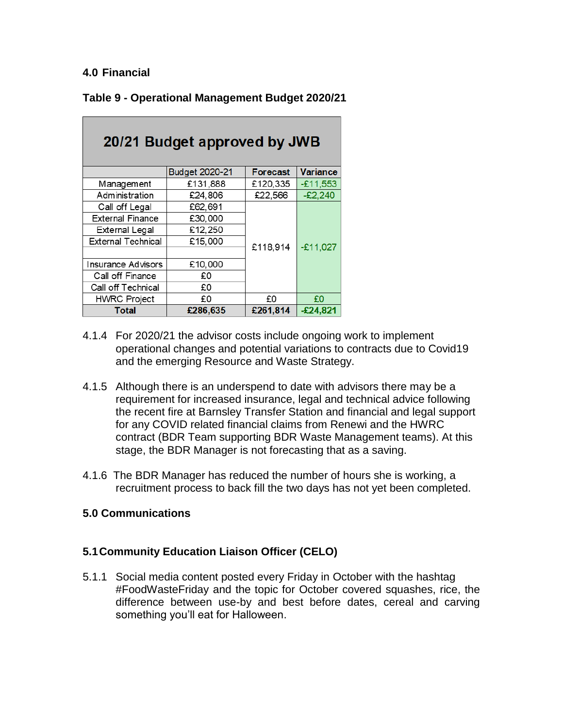#### **4.0 Financial**

| Table 9 - Operational Management Budget 2020/21 |  |  |  |
|-------------------------------------------------|--|--|--|
|-------------------------------------------------|--|--|--|

| 20/21 Budget approved by JWB |                |                 |                 |  |  |  |  |
|------------------------------|----------------|-----------------|-----------------|--|--|--|--|
|                              | Budget 2020-21 | <b>Forecast</b> | <b>Variance</b> |  |  |  |  |
| Management                   | £131,888       | £120,335        | $-£11,553$      |  |  |  |  |
| Administration               | £24,806        | £22,566         | $-E2,240$       |  |  |  |  |
| Call off Legal               | £62,691        |                 |                 |  |  |  |  |
| <b>External Finance</b>      | £30,000        |                 |                 |  |  |  |  |
| External Legal               | £12,250        |                 |                 |  |  |  |  |
| <b>External Technical</b>    | £15,000        | £118,914        | $-E11,027$      |  |  |  |  |
|                              |                |                 |                 |  |  |  |  |
| Insurance Advisors           | £10,000        |                 |                 |  |  |  |  |
| Call off Finance             | £Ο             |                 |                 |  |  |  |  |
| Call off Technical           | £0             |                 |                 |  |  |  |  |
| <b>HWRC Project</b>          | £0             | £0              | £0              |  |  |  |  |
| <b>Total</b>                 | £286,635       | £261,814        | $-£24,821$      |  |  |  |  |

- 4.1.4 For 2020/21 the advisor costs include ongoing work to implement operational changes and potential variations to contracts due to Covid19 and the emerging Resource and Waste Strategy.
- 4.1.5 Although there is an underspend to date with advisors there may be a requirement for increased insurance, legal and technical advice following the recent fire at Barnsley Transfer Station and financial and legal support for any COVID related financial claims from Renewi and the HWRC contract (BDR Team supporting BDR Waste Management teams). At this stage, the BDR Manager is not forecasting that as a saving.
- 4.1.6 The BDR Manager has reduced the number of hours she is working, a recruitment process to back fill the two days has not yet been completed.

#### **5.0 Communications**

## **5.1Community Education Liaison Officer (CELO)**

5.1.1 Social media content posted every Friday in October with the hashtag #FoodWasteFriday and the topic for October covered squashes, rice, the difference between use-by and best before dates, cereal and carving something you'll eat for Halloween.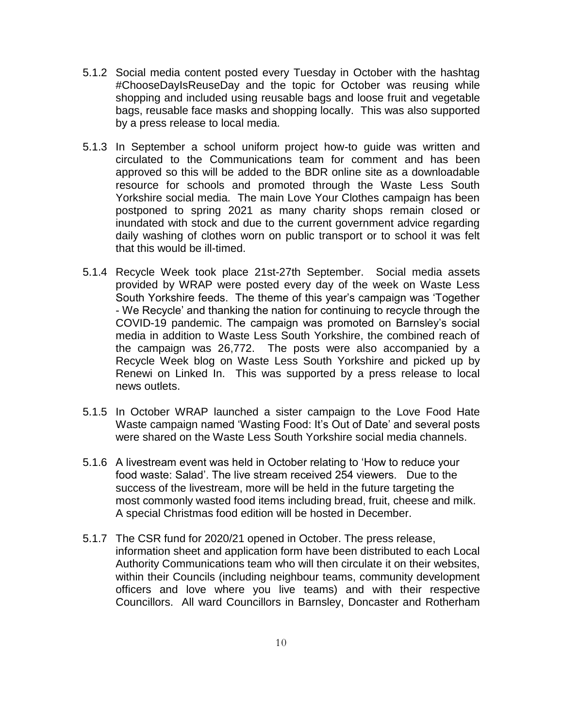- 5.1.2 Social media content posted every Tuesday in October with the hashtag #ChooseDayIsReuseDay and the topic for October was reusing while shopping and included using reusable bags and loose fruit and vegetable bags, reusable face masks and shopping locally. This was also supported by a press release to local media.
- 5.1.3 In September a school uniform project how-to guide was written and circulated to the Communications team for comment and has been approved so this will be added to the BDR online site as a downloadable resource for schools and promoted through the Waste Less South Yorkshire social media. The main Love Your Clothes campaign has been postponed to spring 2021 as many charity shops remain closed or inundated with stock and due to the current government advice regarding daily washing of clothes worn on public transport or to school it was felt that this would be ill-timed.
- 5.1.4 Recycle Week took place 21st-27th September. Social media assets provided by WRAP were posted every day of the week on Waste Less South Yorkshire feeds. The theme of this year's campaign was 'Together - We Recycle' and thanking the nation for continuing to recycle through the COVID-19 pandemic. The campaign was promoted on Barnsley's social media in addition to Waste Less South Yorkshire, the combined reach of the campaign was 26,772. The posts were also accompanied by a Recycle Week blog on Waste Less South Yorkshire and picked up by Renewi on Linked In. This was supported by a press release to local news outlets.
- 5.1.5 In October WRAP launched a sister campaign to the Love Food Hate Waste campaign named 'Wasting Food: It's Out of Date' and several posts were shared on the Waste Less South Yorkshire social media channels.
- 5.1.6 A livestream event was held in October relating to 'How to reduce your food waste: Salad'. The live stream received 254 viewers. Due to the success of the livestream, more will be held in the future targeting the most commonly wasted food items including bread, fruit, cheese and milk. A special Christmas food edition will be hosted in December.
- 5.1.7 The CSR fund for 2020/21 opened in October. The press release, information sheet and application form have been distributed to each Local Authority Communications team who will then circulate it on their websites, within their Councils (including neighbour teams, community development officers and love where you live teams) and with their respective Councillors. All ward Councillors in Barnsley, Doncaster and Rotherham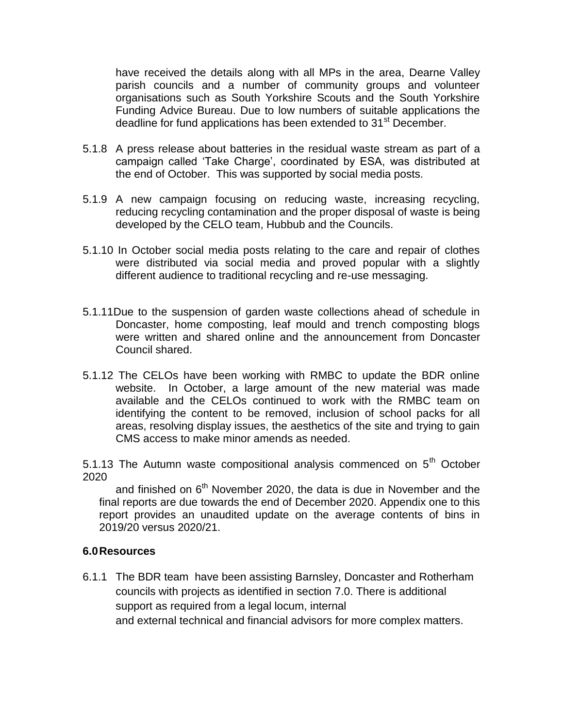have received the details along with all MPs in the area, Dearne Valley parish councils and a number of community groups and volunteer organisations such as South Yorkshire Scouts and the South Yorkshire Funding Advice Bureau. Due to low numbers of suitable applications the deadline for fund applications has been extended to 31<sup>st</sup> December.

- 5.1.8 A press release about batteries in the residual waste stream as part of a campaign called 'Take Charge', coordinated by ESA, was distributed at the end of October. This was supported by social media posts.
- 5.1.9 A new campaign focusing on reducing waste, increasing recycling, reducing recycling contamination and the proper disposal of waste is being developed by the CELO team, Hubbub and the Councils.
- 5.1.10 In October social media posts relating to the care and repair of clothes were distributed via social media and proved popular with a slightly different audience to traditional recycling and re-use messaging.
- 5.1.11Due to the suspension of garden waste collections ahead of schedule in Doncaster, home composting, leaf mould and trench composting blogs were written and shared online and the announcement from Doncaster Council shared.
- 5.1.12 The CELOs have been working with RMBC to update the BDR online website. In October, a large amount of the new material was made available and the CELOs continued to work with the RMBC team on identifying the content to be removed, inclusion of school packs for all areas, resolving display issues, the aesthetics of the site and trying to gain CMS access to make minor amends as needed.

5.1.13 The Autumn waste compositional analysis commenced on  $5<sup>th</sup>$  October 2020

and finished on  $6<sup>th</sup>$  November 2020, the data is due in November and the final reports are due towards the end of December 2020. Appendix one to this report provides an unaudited update on the average contents of bins in 2019/20 versus 2020/21.

#### **6.0Resources**

6.1.1 The BDR team have been assisting Barnsley, Doncaster and Rotherham councils with projects as identified in section 7.0. There is additional support as required from a legal locum, internal and external technical and financial advisors for more complex matters.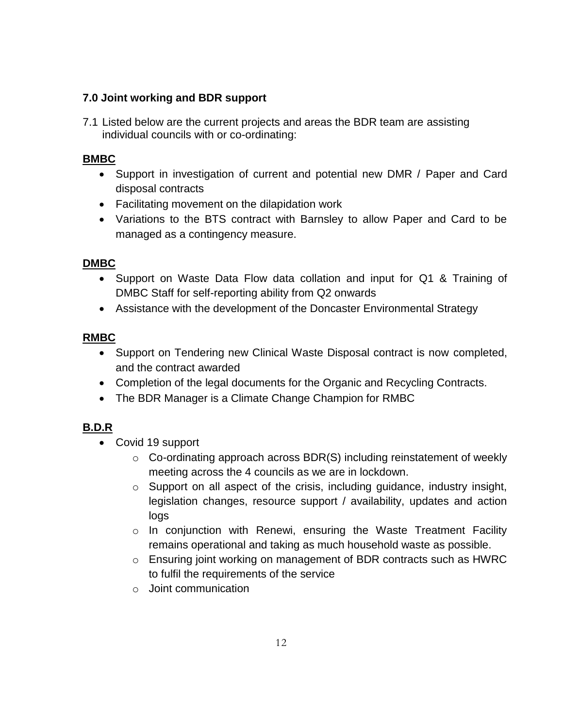## **7.0 Joint working and BDR support**

7.1 Listed below are the current projects and areas the BDR team are assisting individual councils with or co-ordinating:

## **BMBC**

- Support in investigation of current and potential new DMR / Paper and Card disposal contracts
- Facilitating movement on the dilapidation work
- Variations to the BTS contract with Barnsley to allow Paper and Card to be managed as a contingency measure.

#### **DMBC**

- Support on Waste Data Flow data collation and input for Q1 & Training of DMBC Staff for self-reporting ability from Q2 onwards
- Assistance with the development of the Doncaster Environmental Strategy

#### **RMBC**

- Support on Tendering new Clinical Waste Disposal contract is now completed, and the contract awarded
- Completion of the legal documents for the Organic and Recycling Contracts.
- The BDR Manager is a Climate Change Champion for RMBC

## **B.D.R**

- Covid 19 support
	- $\circ$  Co-ordinating approach across BDR(S) including reinstatement of weekly meeting across the 4 councils as we are in lockdown.
	- o Support on all aspect of the crisis, including guidance, industry insight, legislation changes, resource support / availability, updates and action logs
	- o In conjunction with Renewi, ensuring the Waste Treatment Facility remains operational and taking as much household waste as possible.
	- o Ensuring joint working on management of BDR contracts such as HWRC to fulfil the requirements of the service
	- o Joint communication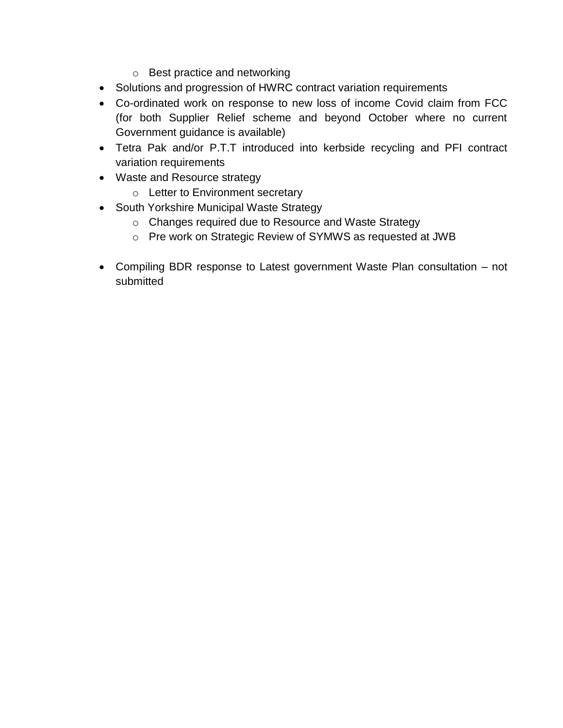- o Best practice and networking
- Solutions and progression of HWRC contract variation requirements
- Co-ordinated work on response to new loss of income Covid claim from FCC (for both Supplier Relief scheme and beyond October where no current Government guidance is available)
- Tetra Pak and/or P.T.T introduced into kerbside recycling and PFI contract variation requirements
- Waste and Resource strategy
	- o Letter to Environment secretary
- South Yorkshire Municipal Waste Strategy
	- o Changes required due to Resource and Waste Strategy
	- o Pre work on Strategic Review of SYMWS as requested at JWB
- Compiling BDR response to Latest government Waste Plan consultation not submitted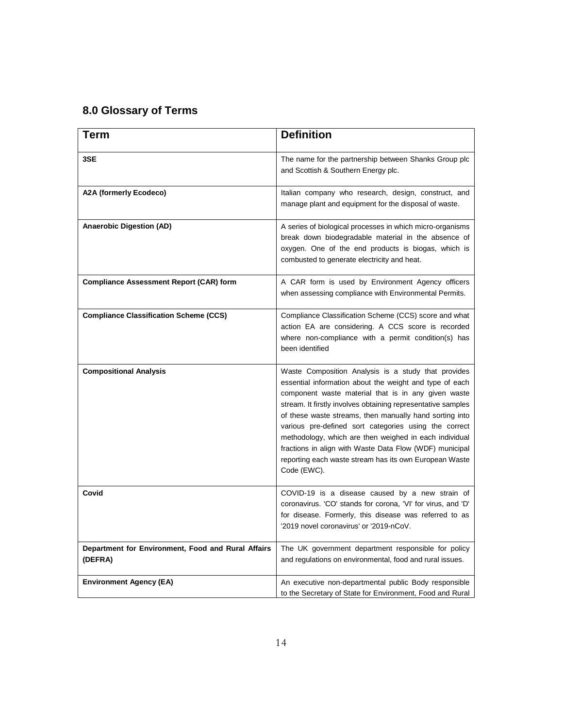# **8.0 Glossary of Terms**

| <b>Term</b>                                                   | <b>Definition</b>                                                                                                                                                                                                                                                                                                                                                                                                                                                                                                                                       |
|---------------------------------------------------------------|---------------------------------------------------------------------------------------------------------------------------------------------------------------------------------------------------------------------------------------------------------------------------------------------------------------------------------------------------------------------------------------------------------------------------------------------------------------------------------------------------------------------------------------------------------|
| 3SE                                                           | The name for the partnership between Shanks Group plc<br>and Scottish & Southern Energy plc.                                                                                                                                                                                                                                                                                                                                                                                                                                                            |
| A2A (formerly Ecodeco)                                        | Italian company who research, design, construct, and<br>manage plant and equipment for the disposal of waste.                                                                                                                                                                                                                                                                                                                                                                                                                                           |
| <b>Anaerobic Digestion (AD)</b>                               | A series of biological processes in which micro-organisms<br>break down biodegradable material in the absence of<br>oxygen. One of the end products is biogas, which is<br>combusted to generate electricity and heat.                                                                                                                                                                                                                                                                                                                                  |
| <b>Compliance Assessment Report (CAR) form</b>                | A CAR form is used by Environment Agency officers<br>when assessing compliance with Environmental Permits.                                                                                                                                                                                                                                                                                                                                                                                                                                              |
| <b>Compliance Classification Scheme (CCS)</b>                 | Compliance Classification Scheme (CCS) score and what<br>action EA are considering. A CCS score is recorded<br>where non-compliance with a permit condition(s) has<br>been identified                                                                                                                                                                                                                                                                                                                                                                   |
| <b>Compositional Analysis</b>                                 | Waste Composition Analysis is a study that provides<br>essential information about the weight and type of each<br>component waste material that is in any given waste<br>stream. It firstly involves obtaining representative samples<br>of these waste streams, then manually hand sorting into<br>various pre-defined sort categories using the correct<br>methodology, which are then weighed in each individual<br>fractions in align with Waste Data Flow (WDF) municipal<br>reporting each waste stream has its own European Waste<br>Code (EWC). |
| Covid                                                         | COVID-19 is a disease caused by a new strain of<br>coronavirus. 'CO' stands for corona, 'VI' for virus, and 'D'<br>for disease. Formerly, this disease was referred to as<br>'2019 novel coronavirus' or '2019-nCoV.                                                                                                                                                                                                                                                                                                                                    |
| Department for Environment, Food and Rural Affairs<br>(DEFRA) | The UK government department responsible for policy<br>and regulations on environmental, food and rural issues.                                                                                                                                                                                                                                                                                                                                                                                                                                         |
| <b>Environment Agency (EA)</b>                                | An executive non-departmental public Body responsible<br>to the Secretary of State for Environment, Food and Rural                                                                                                                                                                                                                                                                                                                                                                                                                                      |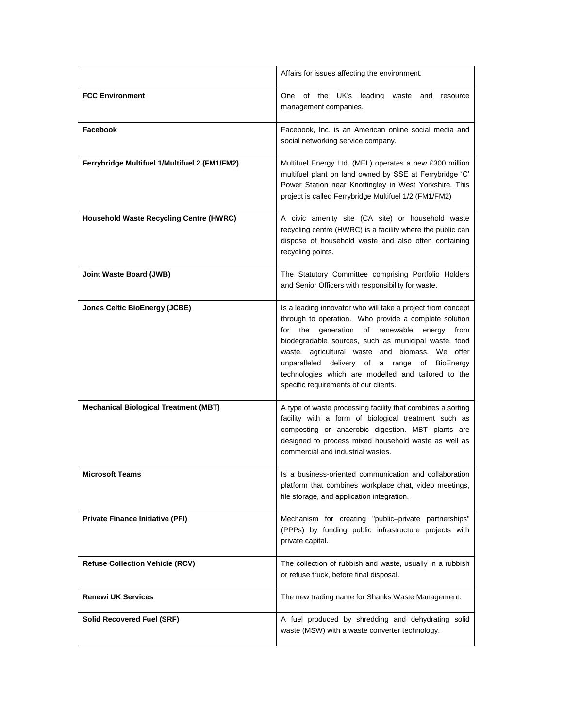|                                                | Affairs for issues affecting the environment.                                                                                                                                                                                                                                                                                                                                                                                            |
|------------------------------------------------|------------------------------------------------------------------------------------------------------------------------------------------------------------------------------------------------------------------------------------------------------------------------------------------------------------------------------------------------------------------------------------------------------------------------------------------|
| <b>FCC Environment</b>                         | One of the UK's leading waste<br>and resource<br>management companies.                                                                                                                                                                                                                                                                                                                                                                   |
| Facebook                                       | Facebook, Inc. is an American online social media and<br>social networking service company.                                                                                                                                                                                                                                                                                                                                              |
| Ferrybridge Multifuel 1/Multifuel 2 (FM1/FM2)  | Multifuel Energy Ltd. (MEL) operates a new £300 million<br>multifuel plant on land owned by SSE at Ferrybridge 'C'<br>Power Station near Knottingley in West Yorkshire. This<br>project is called Ferrybridge Multifuel 1/2 (FM1/FM2)                                                                                                                                                                                                    |
| <b>Household Waste Recycling Centre (HWRC)</b> | A civic amenity site (CA site) or household waste<br>recycling centre (HWRC) is a facility where the public can<br>dispose of household waste and also often containing<br>recycling points.                                                                                                                                                                                                                                             |
| Joint Waste Board (JWB)                        | The Statutory Committee comprising Portfolio Holders<br>and Senior Officers with responsibility for waste.                                                                                                                                                                                                                                                                                                                               |
| <b>Jones Celtic BioEnergy (JCBE)</b>           | Is a leading innovator who will take a project from concept<br>through to operation. Who provide a complete solution<br>for the<br>generation of renewable energy<br>from<br>biodegradable sources, such as municipal waste, food<br>waste, agricultural waste and biomass. We offer<br>unparalleled delivery of a range of<br>BioEnergy<br>technologies which are modelled and tailored to the<br>specific requirements of our clients. |
| <b>Mechanical Biological Treatment (MBT)</b>   | A type of waste processing facility that combines a sorting<br>facility with a form of biological treatment such as<br>composting or anaerobic digestion. MBT plants are<br>designed to process mixed household waste as well as<br>commercial and industrial wastes.                                                                                                                                                                    |
| <b>Microsoft Teams</b>                         | Is a business-oriented communication and collaboration<br>platform that combines workplace chat, video meetings,<br>file storage, and application integration.                                                                                                                                                                                                                                                                           |
| <b>Private Finance Initiative (PFI)</b>        | Mechanism for creating "public-private partnerships"<br>(PPPs) by funding public infrastructure projects with<br>private capital.                                                                                                                                                                                                                                                                                                        |
| <b>Refuse Collection Vehicle (RCV)</b>         | The collection of rubbish and waste, usually in a rubbish<br>or refuse truck, before final disposal.                                                                                                                                                                                                                                                                                                                                     |
| <b>Renewi UK Services</b>                      | The new trading name for Shanks Waste Management.                                                                                                                                                                                                                                                                                                                                                                                        |
| <b>Solid Recovered Fuel (SRF)</b>              | A fuel produced by shredding and dehydrating solid<br>waste (MSW) with a waste converter technology.                                                                                                                                                                                                                                                                                                                                     |